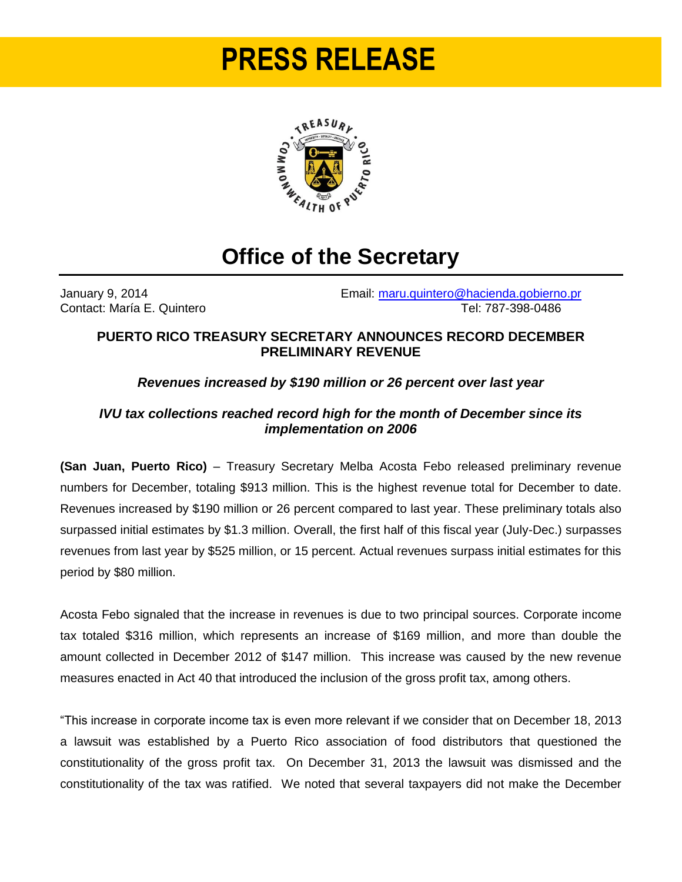# **PRESS RELEASE**



# **Office of the Secretary**

January 9, 2014 Email: [maru.quintero@hacienda.gobierno.pr](mailto:maru.quintero@hacienda.gobierno.pr) Contact: María E. Quintero **Tel: 787-398-0486** 

#### **PUERTO RICO TREASURY SECRETARY ANNOUNCES RECORD DECEMBER PRELIMINARY REVENUE**

### *Revenues increased by \$190 million or 26 percent over last year*

### *IVU tax collections reached record high for the month of December since its implementation on 2006*

**(San Juan, Puerto Rico)** – Treasury Secretary Melba Acosta Febo released preliminary revenue numbers for December, totaling \$913 million. This is the highest revenue total for December to date. Revenues increased by \$190 million or 26 percent compared to last year. These preliminary totals also surpassed initial estimates by \$1.3 million. Overall, the first half of this fiscal year (July-Dec.) surpasses revenues from last year by \$525 million, or 15 percent. Actual revenues surpass initial estimates for this period by \$80 million.

Acosta Febo signaled that the increase in revenues is due to two principal sources. Corporate income tax totaled \$316 million, which represents an increase of \$169 million, and more than double the amount collected in December 2012 of \$147 million. This increase was caused by the new revenue measures enacted in Act 40 that introduced the inclusion of the gross profit tax, among others.

"This increase in corporate income tax is even more relevant if we consider that on December 18, 2013 a lawsuit was established by a Puerto Rico association of food distributors that questioned the constitutionality of the gross profit tax. On December 31, 2013 the lawsuit was dismissed and the constitutionality of the tax was ratified. We noted that several taxpayers did not make the December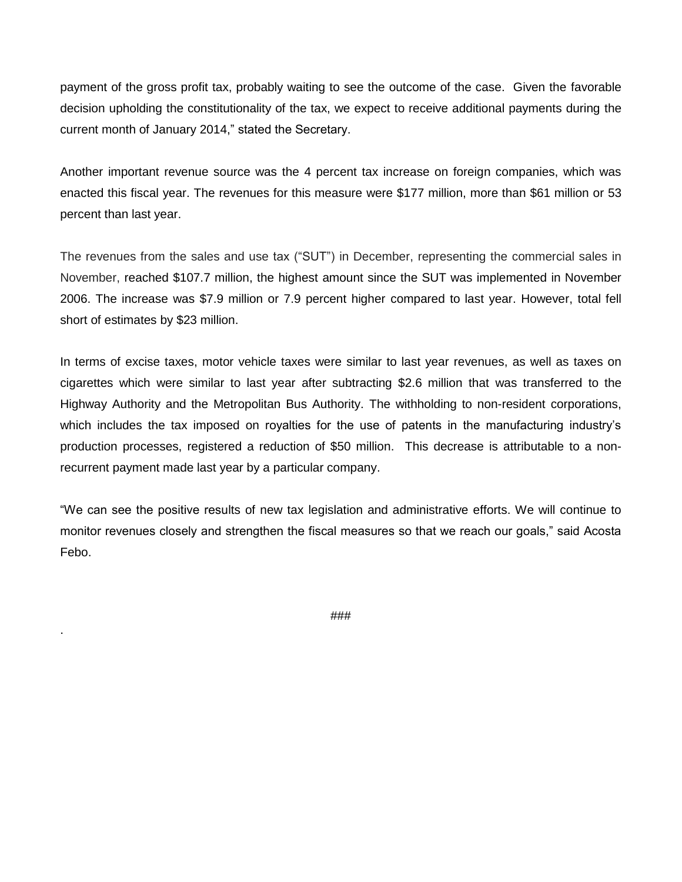payment of the gross profit tax, probably waiting to see the outcome of the case. Given the favorable decision upholding the constitutionality of the tax, we expect to receive additional payments during the current month of January 2014," stated the Secretary.

Another important revenue source was the 4 percent tax increase on foreign companies, which was enacted this fiscal year. The revenues for this measure were \$177 million, more than \$61 million or 53 percent than last year.

The revenues from the sales and use tax ("SUT") in December, representing the commercial sales in November, reached \$107.7 million, the highest amount since the SUT was implemented in November 2006. The increase was \$7.9 million or 7.9 percent higher compared to last year. However, total fell short of estimates by \$23 million.

In terms of excise taxes, motor vehicle taxes were similar to last year revenues, as well as taxes on cigarettes which were similar to last year after subtracting \$2.6 million that was transferred to the Highway Authority and the Metropolitan Bus Authority. The withholding to non-resident corporations, which includes the tax imposed on royalties for the use of patents in the manufacturing industry's production processes, registered a reduction of \$50 million. This decrease is attributable to a nonrecurrent payment made last year by a particular company.

"We can see the positive results of new tax legislation and administrative efforts. We will continue to monitor revenues closely and strengthen the fiscal measures so that we reach our goals," said Acosta Febo.

###

.